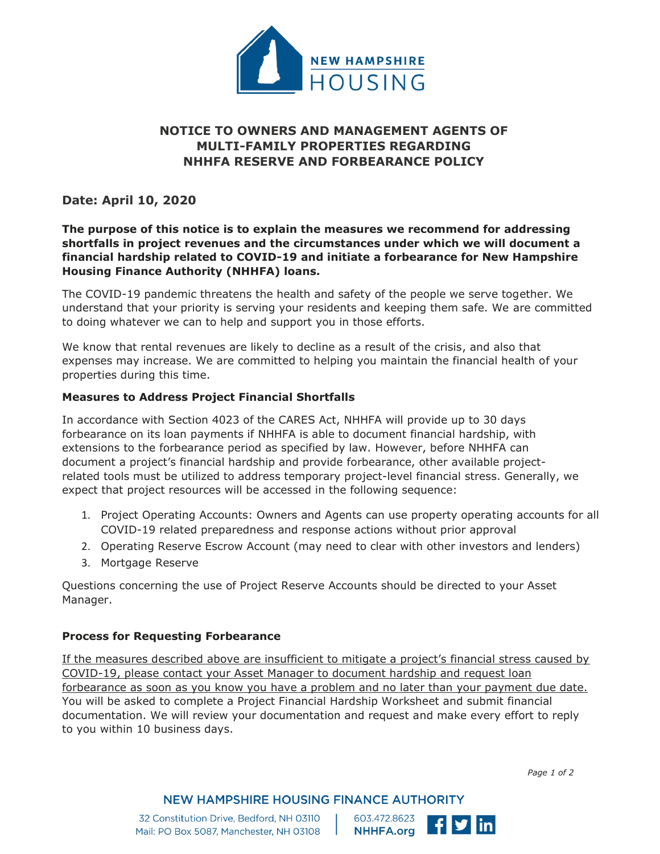

# **NOTICE TO OWNERS AND MANAGEMENT AGENTS OF MULTI-FAMILY PROPERTIES REGARDING NHHFA RESERVE AND FORBEARANCE POLICY**

# **Date: April 10, 2020**

# **The purpose of this notice is to explain the measures we recommend for addressing shortfalls in project revenues and the circumstances under which we will document a financial hardship related to COVID-19 and initiate a forbearance for New Hampshire Housing Finance Authority (NHHFA) loans.**

The COVID-19 pandemic threatens the health and safety of the people we serve together. We understand that your priority is serving your residents and keeping them safe. We are committed to doing whatever we can to help and support you in those efforts.

We know that rental revenues are likely to decline as a result of the crisis, and also that expenses may increase. We are committed to helping you maintain the financial health of your properties during this time.

## **Measures to Address Project Financial Shortfalls**

In accordance with Section 4023 of the CARES Act, NHHFA will provide up to 30 days forbearance on its loan payments if NHHFA is able to document financial hardship, with extensions to the forbearance period as specified by law. However, before NHHFA can document a project's financial hardship and provide forbearance, other available projectrelated tools must be utilized to address temporary project-level financial stress. Generally, we expect that project resources will be accessed in the following sequence:

- 1. Project Operating Accounts: Owners and Agents can use property operating accounts for all COVID-19 related preparedness and response actions without prior approval
- 2. Operating Reserve Escrow Account (may need to clear with other investors and lenders)
- 3. Mortgage Reserve

Questions concerning the use of Project Reserve Accounts should be directed to your Asset Manager.

#### **Process for Requesting Forbearance**

If the measures described above are insufficient to mitigate a project's financial stress caused by COVID-19, please contact your Asset Manager to document hardship and request loan forbearance as soon as you know you have a problem and no later than your payment due date. You will be asked to complete a Project Financial Hardship Worksheet and submit financial documentation. We will review your documentation and request and make every effort to reply to you within 10 business days.

*Page 1 of 2*

**NEW HAMPSHIRE HOUSING FINANCE AUTHORITY** 

32 Constitution Drive, Bedford, NH 03110 Mail: PO Box 5087, Manchester, NH 03108